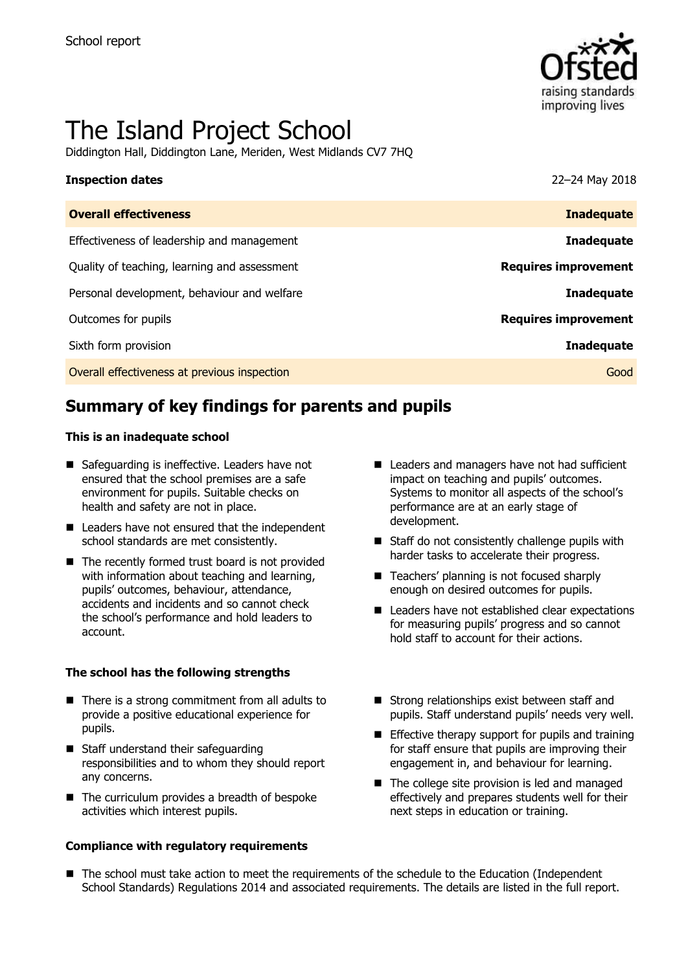

# The Island Project School

Diddington Hall, Diddington Lane, Meriden, West Midlands CV7 7HQ

# **Inspection dates** 22–24 May 2018 **Overall effectiveness Inadequate**

| <u>Uverall effectiveness</u>                 | Indueguate                  |
|----------------------------------------------|-----------------------------|
| Effectiveness of leadership and management   | <b>Inadequate</b>           |
| Quality of teaching, learning and assessment | <b>Requires improvement</b> |
| Personal development, behaviour and welfare  | <b>Inadequate</b>           |
| Outcomes for pupils                          | <b>Requires improvement</b> |
| Sixth form provision                         | <b>Inadequate</b>           |
| Overall effectiveness at previous inspection | Good                        |

# **Summary of key findings for parents and pupils**

### **This is an inadequate school**

- Safeguarding is ineffective. Leaders have not ensured that the school premises are a safe environment for pupils. Suitable checks on health and safety are not in place.
- Leaders have not ensured that the independent school standards are met consistently.
- The recently formed trust board is not provided with information about teaching and learning, pupils' outcomes, behaviour, attendance, accidents and incidents and so cannot check the school's performance and hold leaders to account.

### **The school has the following strengths**

- $\blacksquare$  There is a strong commitment from all adults to provide a positive educational experience for pupils.
- Staff understand their safeguarding responsibilities and to whom they should report any concerns.
- $\blacksquare$  The curriculum provides a breadth of bespoke activities which interest pupils.

### **Compliance with regulatory requirements**

- Leaders and managers have not had sufficient impact on teaching and pupils' outcomes. Systems to monitor all aspects of the school's performance are at an early stage of development.
- Staff do not consistently challenge pupils with harder tasks to accelerate their progress.
- Teachers' planning is not focused sharply enough on desired outcomes for pupils.
- Leaders have not established clear expectations for measuring pupils' progress and so cannot hold staff to account for their actions.
- $\blacksquare$  Strong relationships exist between staff and pupils. Staff understand pupils' needs very well.
- $\blacksquare$  Effective therapy support for pupils and training for staff ensure that pupils are improving their engagement in, and behaviour for learning.
- The college site provision is led and managed effectively and prepares students well for their next steps in education or training.
- The school must take action to meet the requirements of the schedule to the Education (Independent School Standards) Regulations 2014 and associated requirements. The details are listed in the full report.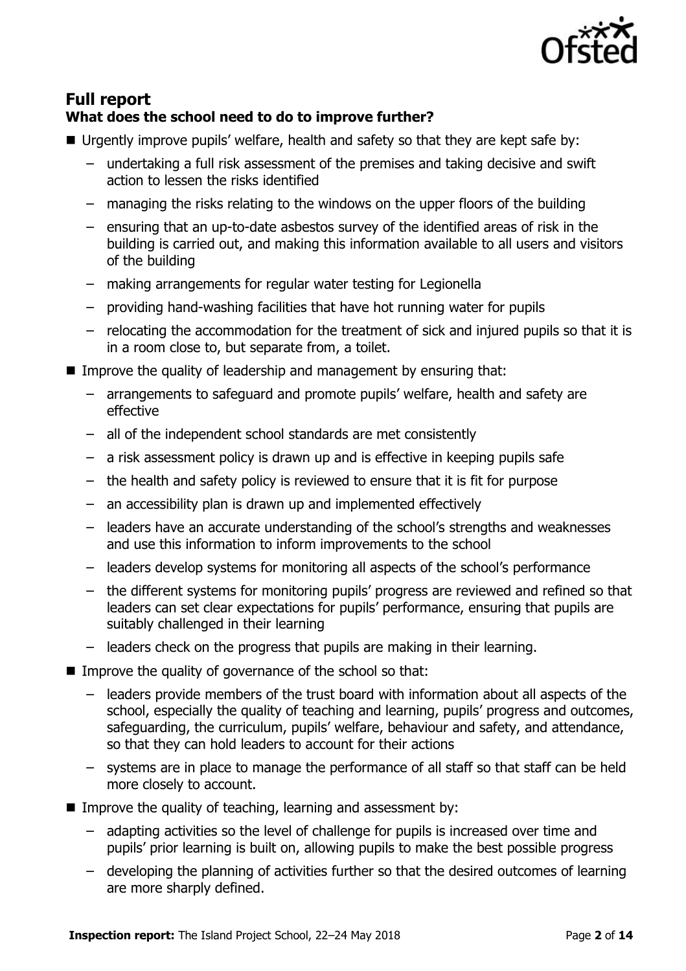

## **Full report What does the school need to do to improve further?**

- Urgently improve pupils' welfare, health and safety so that they are kept safe by:
	- undertaking a full risk assessment of the premises and taking decisive and swift action to lessen the risks identified
	- managing the risks relating to the windows on the upper floors of the building
	- ensuring that an up-to-date asbestos survey of the identified areas of risk in the building is carried out, and making this information available to all users and visitors of the building
	- making arrangements for regular water testing for Legionella
	- providing hand-washing facilities that have hot running water for pupils
	- relocating the accommodation for the treatment of sick and injured pupils so that it is in a room close to, but separate from, a toilet.
- Improve the quality of leadership and management by ensuring that:
	- arrangements to safeguard and promote pupils' welfare, health and safety are effective
	- all of the independent school standards are met consistently
	- a risk assessment policy is drawn up and is effective in keeping pupils safe
	- the health and safety policy is reviewed to ensure that it is fit for purpose
	- an accessibility plan is drawn up and implemented effectively
	- leaders have an accurate understanding of the school's strengths and weaknesses and use this information to inform improvements to the school
	- leaders develop systems for monitoring all aspects of the school's performance
	- the different systems for monitoring pupils' progress are reviewed and refined so that leaders can set clear expectations for pupils' performance, ensuring that pupils are suitably challenged in their learning
	- leaders check on the progress that pupils are making in their learning.
- Improve the quality of governance of the school so that:
	- leaders provide members of the trust board with information about all aspects of the school, especially the quality of teaching and learning, pupils' progress and outcomes, safeguarding, the curriculum, pupils' welfare, behaviour and safety, and attendance, so that they can hold leaders to account for their actions
	- systems are in place to manage the performance of all staff so that staff can be held more closely to account.
- Improve the quality of teaching, learning and assessment by:
	- adapting activities so the level of challenge for pupils is increased over time and pupils' prior learning is built on, allowing pupils to make the best possible progress
	- developing the planning of activities further so that the desired outcomes of learning are more sharply defined.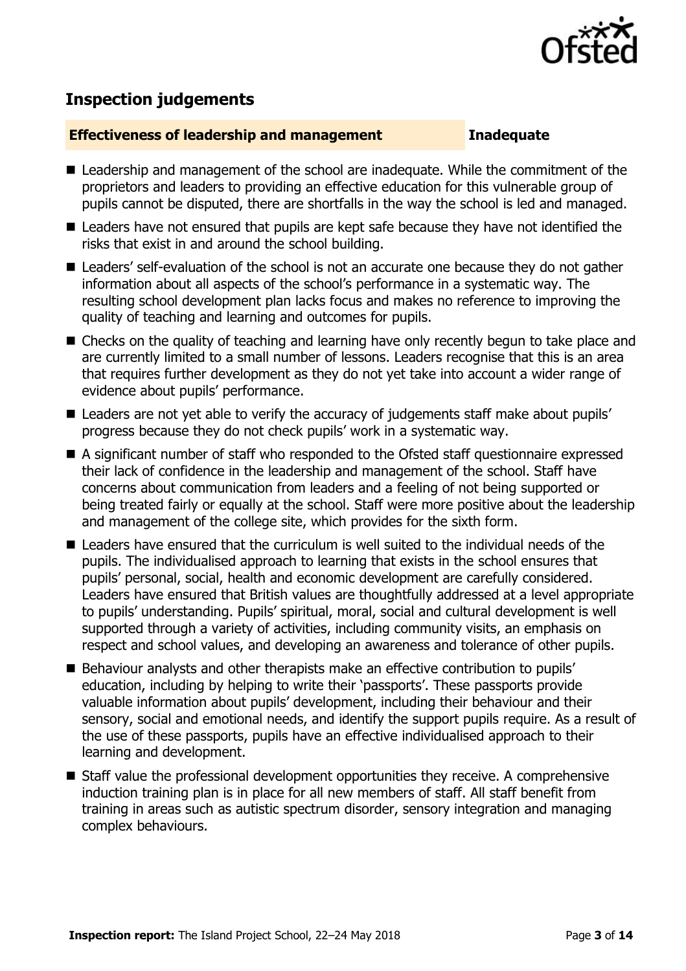

# **Inspection judgements**

### **Effectiveness of leadership and management Inadequate**

- Leadership and management of the school are inadequate. While the commitment of the proprietors and leaders to providing an effective education for this vulnerable group of pupils cannot be disputed, there are shortfalls in the way the school is led and managed.
- Leaders have not ensured that pupils are kept safe because they have not identified the risks that exist in and around the school building.
- Leaders' self-evaluation of the school is not an accurate one because they do not gather information about all aspects of the school's performance in a systematic way. The resulting school development plan lacks focus and makes no reference to improving the quality of teaching and learning and outcomes for pupils.
- Checks on the quality of teaching and learning have only recently begun to take place and are currently limited to a small number of lessons. Leaders recognise that this is an area that requires further development as they do not yet take into account a wider range of evidence about pupils' performance.
- Leaders are not vet able to verify the accuracy of judgements staff make about pupils' progress because they do not check pupils' work in a systematic way.
- A significant number of staff who responded to the Ofsted staff questionnaire expressed their lack of confidence in the leadership and management of the school. Staff have concerns about communication from leaders and a feeling of not being supported or being treated fairly or equally at the school. Staff were more positive about the leadership and management of the college site, which provides for the sixth form.
- Leaders have ensured that the curriculum is well suited to the individual needs of the pupils. The individualised approach to learning that exists in the school ensures that pupils' personal, social, health and economic development are carefully considered. Leaders have ensured that British values are thoughtfully addressed at a level appropriate to pupils' understanding. Pupils' spiritual, moral, social and cultural development is well supported through a variety of activities, including community visits, an emphasis on respect and school values, and developing an awareness and tolerance of other pupils.
- Behaviour analysts and other therapists make an effective contribution to pupils' education, including by helping to write their 'passports'. These passports provide valuable information about pupils' development, including their behaviour and their sensory, social and emotional needs, and identify the support pupils require. As a result of the use of these passports, pupils have an effective individualised approach to their learning and development.
- Staff value the professional development opportunities they receive. A comprehensive induction training plan is in place for all new members of staff. All staff benefit from training in areas such as autistic spectrum disorder, sensory integration and managing complex behaviours.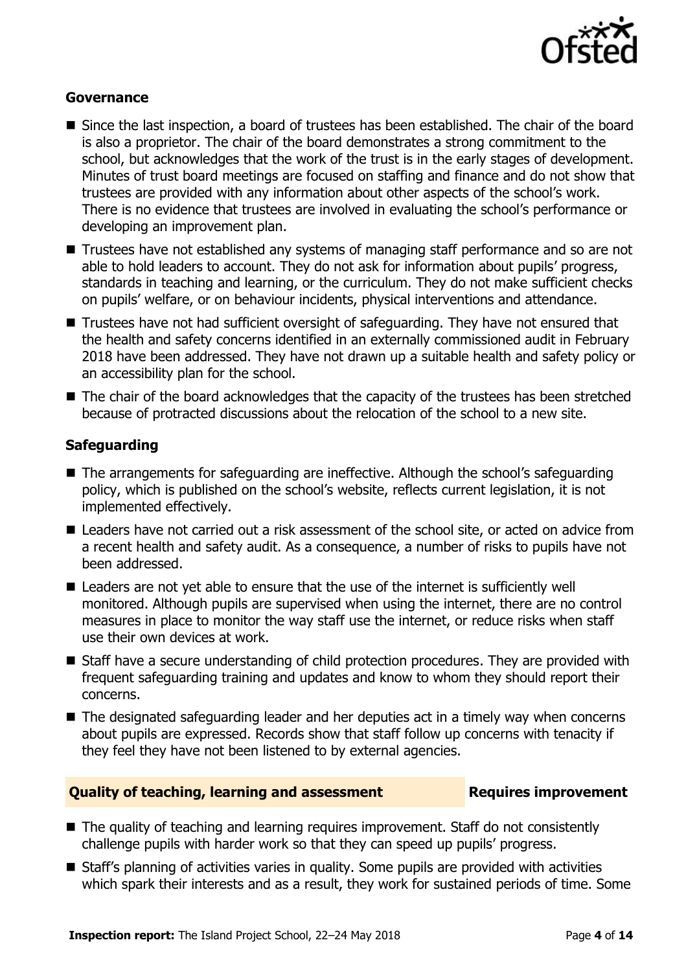

### **Governance**

- Since the last inspection, a board of trustees has been established. The chair of the board is also a proprietor. The chair of the board demonstrates a strong commitment to the school, but acknowledges that the work of the trust is in the early stages of development. Minutes of trust board meetings are focused on staffing and finance and do not show that trustees are provided with any information about other aspects of the school's work. There is no evidence that trustees are involved in evaluating the school's performance or developing an improvement plan.
- Trustees have not established any systems of managing staff performance and so are not able to hold leaders to account. They do not ask for information about pupils' progress, standards in teaching and learning, or the curriculum. They do not make sufficient checks on pupils' welfare, or on behaviour incidents, physical interventions and attendance.
- Trustees have not had sufficient oversight of safeguarding. They have not ensured that the health and safety concerns identified in an externally commissioned audit in February 2018 have been addressed. They have not drawn up a suitable health and safety policy or an accessibility plan for the school.
- The chair of the board acknowledges that the capacity of the trustees has been stretched because of protracted discussions about the relocation of the school to a new site.

### **Safeguarding**

- The arrangements for safeguarding are ineffective. Although the school's safeguarding policy, which is published on the school's website, reflects current legislation, it is not implemented effectively.
- Leaders have not carried out a risk assessment of the school site, or acted on advice from a recent health and safety audit. As a consequence, a number of risks to pupils have not been addressed.
- Leaders are not yet able to ensure that the use of the internet is sufficiently well monitored. Although pupils are supervised when using the internet, there are no control measures in place to monitor the way staff use the internet, or reduce risks when staff use their own devices at work.
- Staff have a secure understanding of child protection procedures. They are provided with frequent safeguarding training and updates and know to whom they should report their concerns.
- The designated safeguarding leader and her deputies act in a timely way when concerns about pupils are expressed. Records show that staff follow up concerns with tenacity if they feel they have not been listened to by external agencies.

### **Quality of teaching, learning and assessment Fig. 2.1 Requires improvement**

- The quality of teaching and learning requires improvement. Staff do not consistently challenge pupils with harder work so that they can speed up pupils' progress.
- Staff's planning of activities varies in quality. Some pupils are provided with activities which spark their interests and as a result, they work for sustained periods of time. Some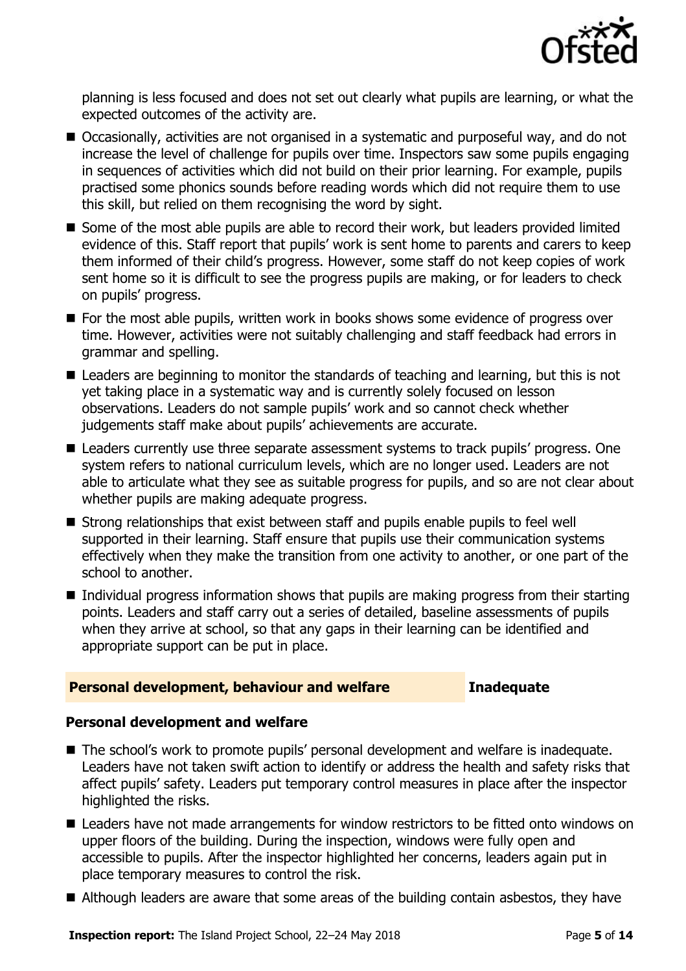

planning is less focused and does not set out clearly what pupils are learning, or what the expected outcomes of the activity are.

- Occasionally, activities are not organised in a systematic and purposeful way, and do not increase the level of challenge for pupils over time. Inspectors saw some pupils engaging in sequences of activities which did not build on their prior learning. For example, pupils practised some phonics sounds before reading words which did not require them to use this skill, but relied on them recognising the word by sight.
- Some of the most able pupils are able to record their work, but leaders provided limited evidence of this. Staff report that pupils' work is sent home to parents and carers to keep them informed of their child's progress. However, some staff do not keep copies of work sent home so it is difficult to see the progress pupils are making, or for leaders to check on pupils' progress.
- For the most able pupils, written work in books shows some evidence of progress over time. However, activities were not suitably challenging and staff feedback had errors in grammar and spelling.
- Leaders are beginning to monitor the standards of teaching and learning, but this is not yet taking place in a systematic way and is currently solely focused on lesson observations. Leaders do not sample pupils' work and so cannot check whether judgements staff make about pupils' achievements are accurate.
- Leaders currently use three separate assessment systems to track pupils' progress. One system refers to national curriculum levels, which are no longer used. Leaders are not able to articulate what they see as suitable progress for pupils, and so are not clear about whether pupils are making adequate progress.
- Strong relationships that exist between staff and pupils enable pupils to feel well supported in their learning. Staff ensure that pupils use their communication systems effectively when they make the transition from one activity to another, or one part of the school to another.
- Individual progress information shows that pupils are making progress from their starting points. Leaders and staff carry out a series of detailed, baseline assessments of pupils when they arrive at school, so that any gaps in their learning can be identified and appropriate support can be put in place.

### **Personal development, behaviour and welfare <b>Inadequate**

### **Personal development and welfare**

- The school's work to promote pupils' personal development and welfare is inadequate. Leaders have not taken swift action to identify or address the health and safety risks that affect pupils' safety. Leaders put temporary control measures in place after the inspector highlighted the risks.
- Leaders have not made arrangements for window restrictors to be fitted onto windows on upper floors of the building. During the inspection, windows were fully open and accessible to pupils. After the inspector highlighted her concerns, leaders again put in place temporary measures to control the risk.
- Although leaders are aware that some areas of the building contain asbestos, they have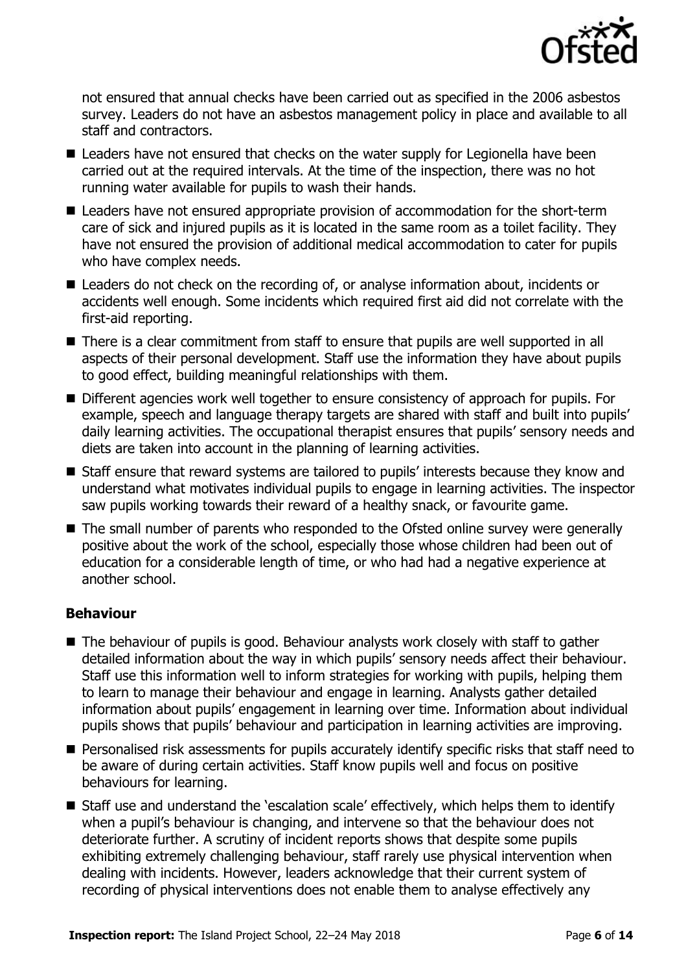

not ensured that annual checks have been carried out as specified in the 2006 asbestos survey. Leaders do not have an asbestos management policy in place and available to all staff and contractors.

- Leaders have not ensured that checks on the water supply for Legionella have been carried out at the required intervals. At the time of the inspection, there was no hot running water available for pupils to wash their hands.
- Leaders have not ensured appropriate provision of accommodation for the short-term care of sick and injured pupils as it is located in the same room as a toilet facility. They have not ensured the provision of additional medical accommodation to cater for pupils who have complex needs.
- Leaders do not check on the recording of, or analyse information about, incidents or accidents well enough. Some incidents which required first aid did not correlate with the first-aid reporting.
- There is a clear commitment from staff to ensure that pupils are well supported in all aspects of their personal development. Staff use the information they have about pupils to good effect, building meaningful relationships with them.
- Different agencies work well together to ensure consistency of approach for pupils. For example, speech and language therapy targets are shared with staff and built into pupils' daily learning activities. The occupational therapist ensures that pupils' sensory needs and diets are taken into account in the planning of learning activities.
- Staff ensure that reward systems are tailored to pupils' interests because they know and understand what motivates individual pupils to engage in learning activities. The inspector saw pupils working towards their reward of a healthy snack, or favourite game.
- The small number of parents who responded to the Ofsted online survey were generally positive about the work of the school, especially those whose children had been out of education for a considerable length of time, or who had had a negative experience at another school.

### **Behaviour**

- The behaviour of pupils is good. Behaviour analysts work closely with staff to gather detailed information about the way in which pupils' sensory needs affect their behaviour. Staff use this information well to inform strategies for working with pupils, helping them to learn to manage their behaviour and engage in learning. Analysts gather detailed information about pupils' engagement in learning over time. Information about individual pupils shows that pupils' behaviour and participation in learning activities are improving.
- **Personalised risk assessments for pupils accurately identify specific risks that staff need to** be aware of during certain activities. Staff know pupils well and focus on positive behaviours for learning.
- Staff use and understand the 'escalation scale' effectively, which helps them to identify when a pupil's behaviour is changing, and intervene so that the behaviour does not deteriorate further. A scrutiny of incident reports shows that despite some pupils exhibiting extremely challenging behaviour, staff rarely use physical intervention when dealing with incidents. However, leaders acknowledge that their current system of recording of physical interventions does not enable them to analyse effectively any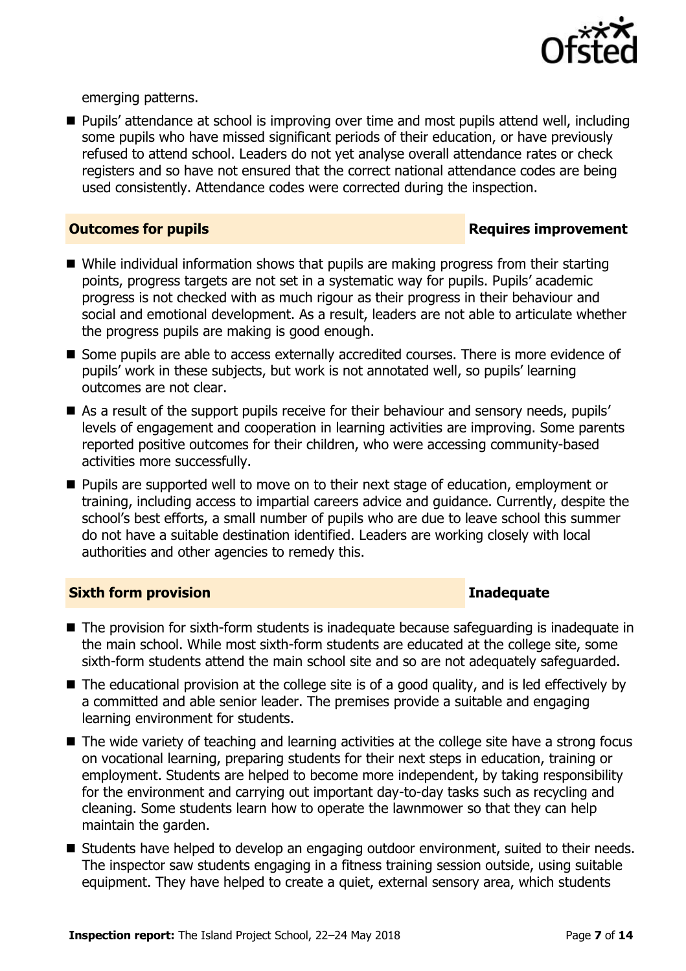

emerging patterns.

■ Pupils' attendance at school is improving over time and most pupils attend well, including some pupils who have missed significant periods of their education, or have previously refused to attend school. Leaders do not yet analyse overall attendance rates or check registers and so have not ensured that the correct national attendance codes are being used consistently. Attendance codes were corrected during the inspection.

### **Outcomes for pupils Requires improvement**

- While individual information shows that pupils are making progress from their starting points, progress targets are not set in a systematic way for pupils. Pupils' academic progress is not checked with as much rigour as their progress in their behaviour and social and emotional development. As a result, leaders are not able to articulate whether the progress pupils are making is good enough.
- Some pupils are able to access externally accredited courses. There is more evidence of pupils' work in these subjects, but work is not annotated well, so pupils' learning outcomes are not clear.
- As a result of the support pupils receive for their behaviour and sensory needs, pupils' levels of engagement and cooperation in learning activities are improving. Some parents reported positive outcomes for their children, who were accessing community-based activities more successfully.
- **Pupils are supported well to move on to their next stage of education, employment or** training, including access to impartial careers advice and guidance. Currently, despite the school's best efforts, a small number of pupils who are due to leave school this summer do not have a suitable destination identified. Leaders are working closely with local authorities and other agencies to remedy this.

### **Sixth form provision Inadequate**

- The provision for sixth-form students is inadequate because safequarding is inadequate in the main school. While most sixth-form students are educated at the college site, some sixth-form students attend the main school site and so are not adequately safeguarded.
- $\blacksquare$  The educational provision at the college site is of a good quality, and is led effectively by a committed and able senior leader. The premises provide a suitable and engaging learning environment for students.
- The wide variety of teaching and learning activities at the college site have a strong focus on vocational learning, preparing students for their next steps in education, training or employment. Students are helped to become more independent, by taking responsibility for the environment and carrying out important day-to-day tasks such as recycling and cleaning. Some students learn how to operate the lawnmower so that they can help maintain the garden.
- Students have helped to develop an engaging outdoor environment, suited to their needs. The inspector saw students engaging in a fitness training session outside, using suitable equipment. They have helped to create a quiet, external sensory area, which students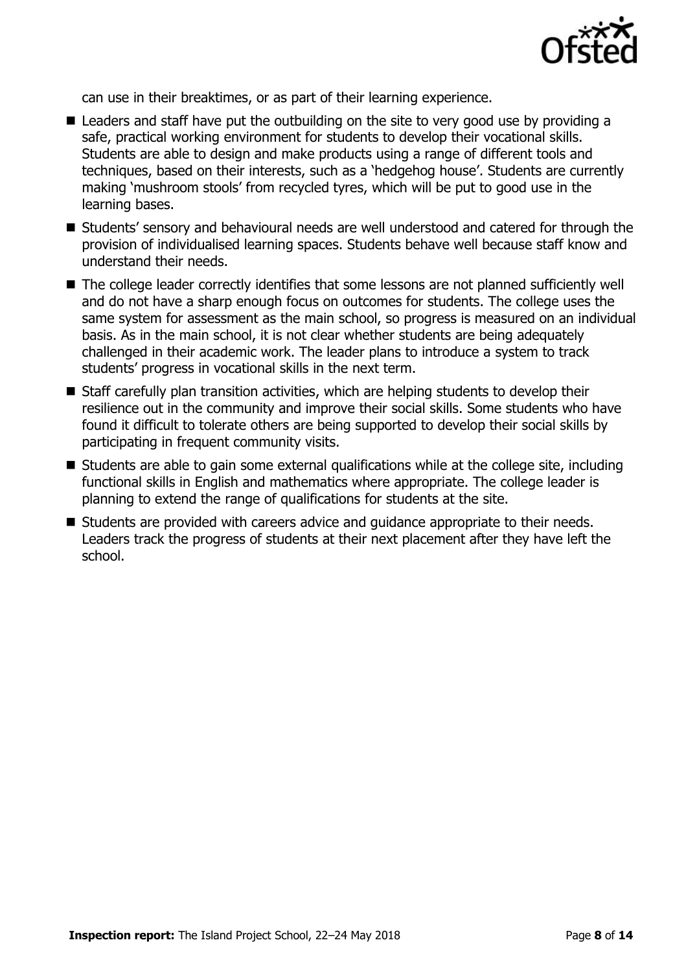

can use in their breaktimes, or as part of their learning experience.

- Leaders and staff have put the outbuilding on the site to very good use by providing a safe, practical working environment for students to develop their vocational skills. Students are able to design and make products using a range of different tools and techniques, based on their interests, such as a 'hedgehog house'. Students are currently making 'mushroom stools' from recycled tyres, which will be put to good use in the learning bases.
- Students' sensory and behavioural needs are well understood and catered for through the provision of individualised learning spaces. Students behave well because staff know and understand their needs.
- The college leader correctly identifies that some lessons are not planned sufficiently well and do not have a sharp enough focus on outcomes for students. The college uses the same system for assessment as the main school, so progress is measured on an individual basis. As in the main school, it is not clear whether students are being adequately challenged in their academic work. The leader plans to introduce a system to track students' progress in vocational skills in the next term.
- Staff carefully plan transition activities, which are helping students to develop their resilience out in the community and improve their social skills. Some students who have found it difficult to tolerate others are being supported to develop their social skills by participating in frequent community visits.
- Students are able to gain some external qualifications while at the college site, including functional skills in English and mathematics where appropriate. The college leader is planning to extend the range of qualifications for students at the site.
- Students are provided with careers advice and quidance appropriate to their needs. Leaders track the progress of students at their next placement after they have left the school.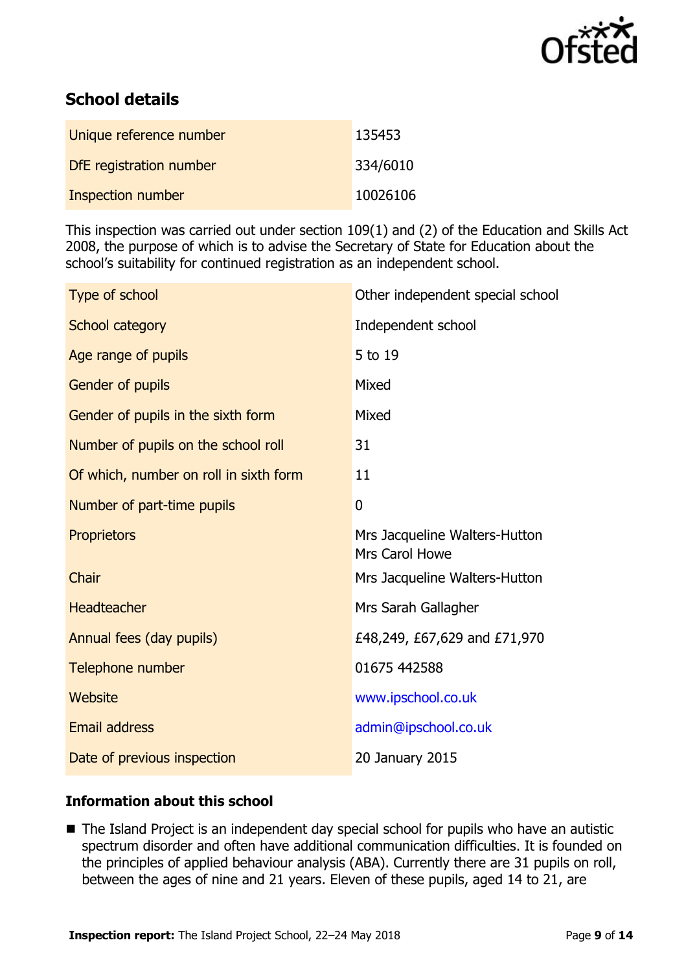

# **School details**

| Unique reference number | 135453   |
|-------------------------|----------|
| DfE registration number | 334/6010 |
| Inspection number       | 10026106 |

This inspection was carried out under section 109(1) and (2) of the Education and Skills Act 2008, the purpose of which is to advise the Secretary of State for Education about the school's suitability for continued registration as an independent school.

| Type of school                         | Other independent special school                |
|----------------------------------------|-------------------------------------------------|
| School category                        | Independent school                              |
| Age range of pupils                    | 5 to 19                                         |
| Gender of pupils                       | Mixed                                           |
| Gender of pupils in the sixth form     | Mixed                                           |
| Number of pupils on the school roll    | 31                                              |
| Of which, number on roll in sixth form | 11                                              |
| Number of part-time pupils             | $\overline{0}$                                  |
| Proprietors                            | Mrs Jacqueline Walters-Hutton<br>Mrs Carol Howe |
| Chair                                  | Mrs Jacqueline Walters-Hutton                   |
| <b>Headteacher</b>                     | Mrs Sarah Gallagher                             |
| Annual fees (day pupils)               | £48,249, £67,629 and £71,970                    |
| Telephone number                       | 01675 442588                                    |
| Website                                | www.ipschool.co.uk                              |
| <b>Email address</b>                   | admin@ipschool.co.uk                            |
| Date of previous inspection            | 20 January 2015                                 |

### **Information about this school**

■ The Island Project is an independent day special school for pupils who have an autistic spectrum disorder and often have additional communication difficulties. It is founded on the principles of applied behaviour analysis (ABA). Currently there are 31 pupils on roll, between the ages of nine and 21 years. Eleven of these pupils, aged 14 to 21, are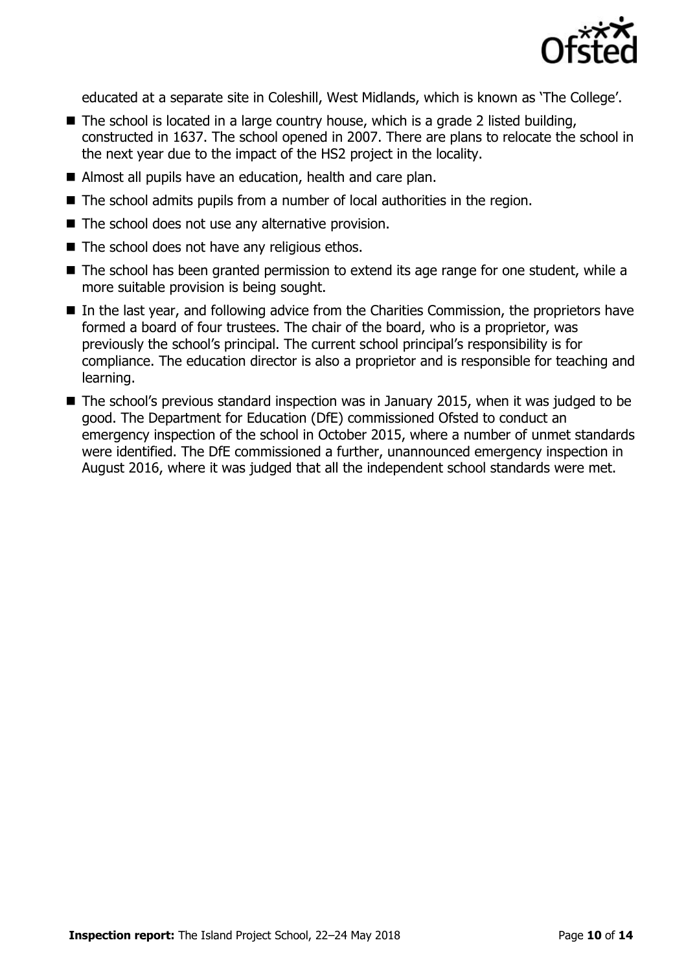

educated at a separate site in Coleshill, West Midlands, which is known as 'The College'.

- $\blacksquare$  The school is located in a large country house, which is a grade 2 listed building, constructed in 1637. The school opened in 2007. There are plans to relocate the school in the next year due to the impact of the HS2 project in the locality.
- Almost all pupils have an education, health and care plan.
- The school admits pupils from a number of local authorities in the region.
- The school does not use any alternative provision.
- $\blacksquare$  The school does not have any religious ethos.
- The school has been granted permission to extend its age range for one student, while a more suitable provision is being sought.
- In the last year, and following advice from the Charities Commission, the proprietors have formed a board of four trustees. The chair of the board, who is a proprietor, was previously the school's principal. The current school principal's responsibility is for compliance. The education director is also a proprietor and is responsible for teaching and learning.
- The school's previous standard inspection was in January 2015, when it was judged to be good. The Department for Education (DfE) commissioned Ofsted to conduct an emergency inspection of the school in October 2015, where a number of unmet standards were identified. The DfE commissioned a further, unannounced emergency inspection in August 2016, where it was judged that all the independent school standards were met.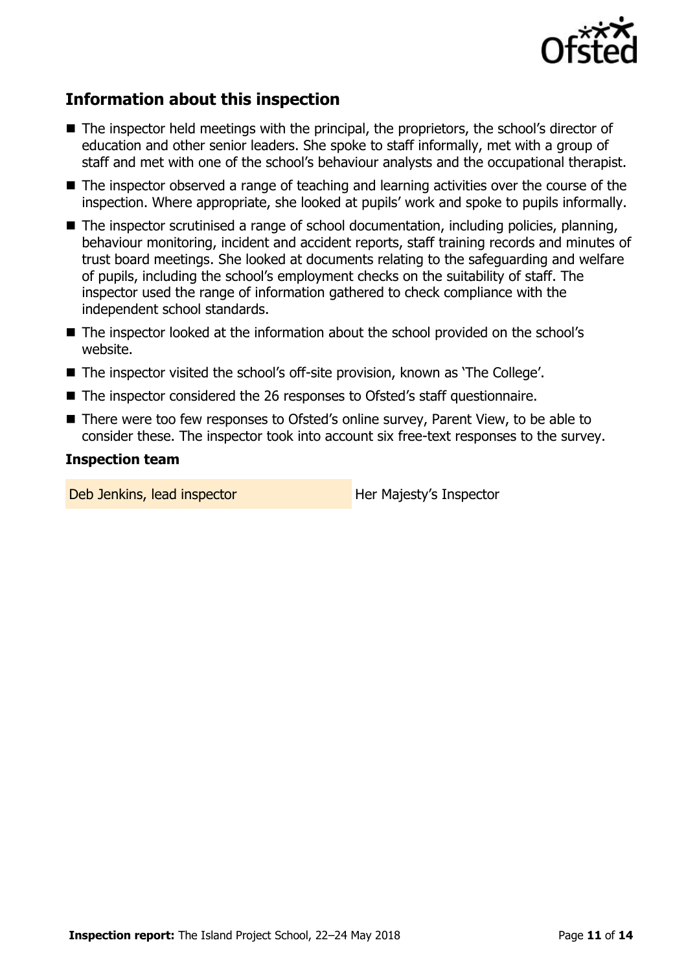

# **Information about this inspection**

- The inspector held meetings with the principal, the proprietors, the school's director of education and other senior leaders. She spoke to staff informally, met with a group of staff and met with one of the school's behaviour analysts and the occupational therapist.
- The inspector observed a range of teaching and learning activities over the course of the inspection. Where appropriate, she looked at pupils' work and spoke to pupils informally.
- The inspector scrutinised a range of school documentation, including policies, planning, behaviour monitoring, incident and accident reports, staff training records and minutes of trust board meetings. She looked at documents relating to the safeguarding and welfare of pupils, including the school's employment checks on the suitability of staff. The inspector used the range of information gathered to check compliance with the independent school standards.
- The inspector looked at the information about the school provided on the school's website.
- The inspector visited the school's off-site provision, known as 'The College'.
- The inspector considered the 26 responses to Ofsted's staff questionnaire.
- There were too few responses to Ofsted's online survey, Parent View, to be able to consider these. The inspector took into account six free-text responses to the survey.

### **Inspection team**

Deb Jenkins, lead inspector **Her Majesty's Inspector**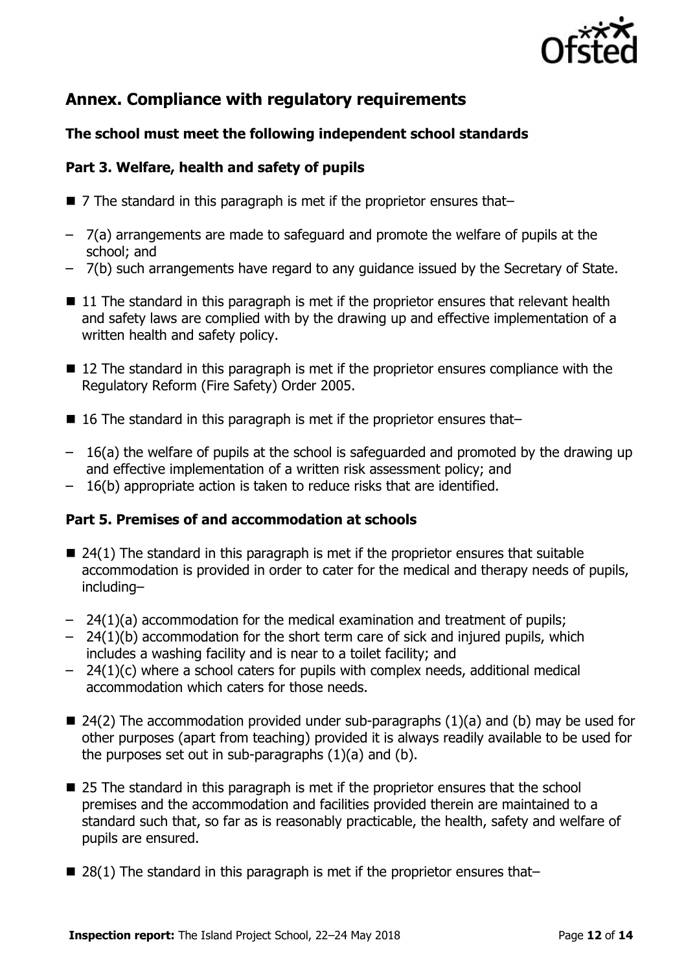

# **Annex. Compliance with regulatory requirements**

### **The school must meet the following independent school standards**

### **Part 3. Welfare, health and safety of pupils**

- 7 The standard in this paragraph is met if the proprietor ensures that–
- 7(a) arrangements are made to safeguard and promote the welfare of pupils at the school; and
- 7(b) such arrangements have regard to any guidance issued by the Secretary of State.
- $\blacksquare$  11 The standard in this paragraph is met if the proprietor ensures that relevant health and safety laws are complied with by the drawing up and effective implementation of a written health and safety policy.
- 12 The standard in this paragraph is met if the proprietor ensures compliance with the Regulatory Reform (Fire Safety) Order 2005.
- $\blacksquare$  16 The standard in this paragraph is met if the proprietor ensures that-
- 16(a) the welfare of pupils at the school is safeguarded and promoted by the drawing up and effective implementation of a written risk assessment policy; and
- 16(b) appropriate action is taken to reduce risks that are identified.

### **Part 5. Premises of and accommodation at schools**

- $\blacksquare$  24(1) The standard in this paragraph is met if the proprietor ensures that suitable accommodation is provided in order to cater for the medical and therapy needs of pupils, including–
- 24(1)(a) accommodation for the medical examination and treatment of pupils;
- 24(1)(b) accommodation for the short term care of sick and injured pupils, which includes a washing facility and is near to a toilet facility; and
- $-$  24(1)(c) where a school caters for pupils with complex needs, additional medical accommodation which caters for those needs.
- $\blacksquare$  24(2) The accommodation provided under sub-paragraphs (1)(a) and (b) may be used for other purposes (apart from teaching) provided it is always readily available to be used for the purposes set out in sub-paragraphs (1)(a) and (b).
- 25 The standard in this paragraph is met if the proprietor ensures that the school premises and the accommodation and facilities provided therein are maintained to a standard such that, so far as is reasonably practicable, the health, safety and welfare of pupils are ensured.
- 28(1) The standard in this paragraph is met if the proprietor ensures that–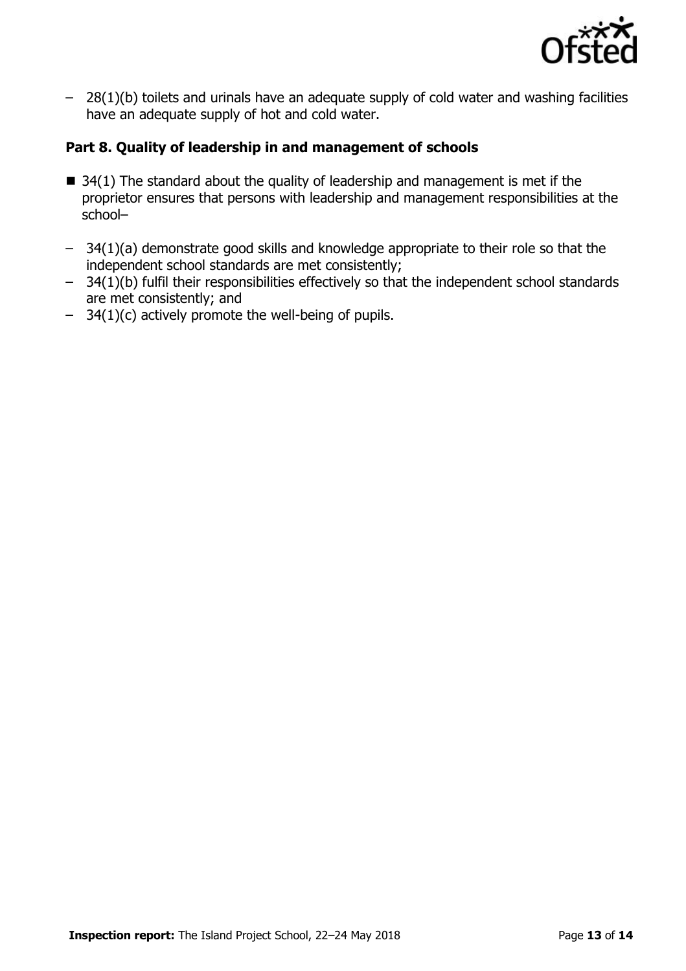

– 28(1)(b) toilets and urinals have an adequate supply of cold water and washing facilities have an adequate supply of hot and cold water.

### **Part 8. Quality of leadership in and management of schools**

- $\blacksquare$  34(1) The standard about the quality of leadership and management is met if the proprietor ensures that persons with leadership and management responsibilities at the school–
- 34(1)(a) demonstrate good skills and knowledge appropriate to their role so that the independent school standards are met consistently;
- $-$  34(1)(b) fulfil their responsibilities effectively so that the independent school standards are met consistently; and
- 34(1)(c) actively promote the well-being of pupils.